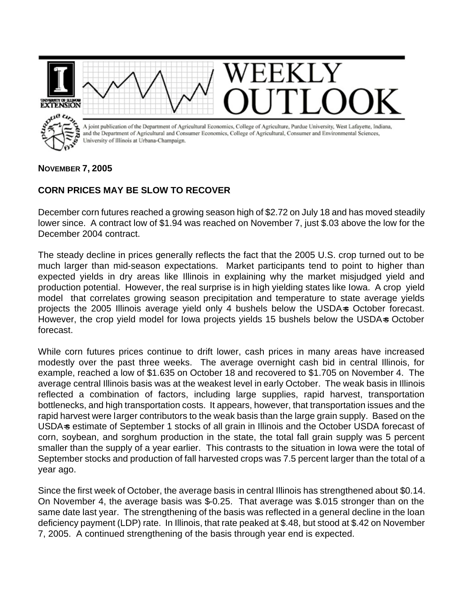

## **CORN PRICES MAY BE SLOW TO RECOVER**

December corn futures reached a growing season high of \$2.72 on July 18 and has moved steadily lower since. A contract low of \$1.94 was reached on November 7, just \$.03 above the low for the December 2004 contract.

The steady decline in prices generally reflects the fact that the 2005 U.S. crop turned out to be much larger than mid-season expectations. Market participants tend to point to higher than expected yields in dry areas like Illinois in explaining why the market misjudged yield and production potential. However, the real surprise is in high yielding states like Iowa. A crop yield model that correlates growing season precipitation and temperature to state average yields projects the 2005 Illinois average yield only 4 bushels below the USDA-s October forecast. However, the crop yield model for Iowa projects yields 15 bushels below the USDA=s October forecast.

While corn futures prices continue to drift lower, cash prices in many areas have increased modestly over the past three weeks. The average overnight cash bid in central Illinois, for example, reached a low of \$1.635 on October 18 and recovered to \$1.705 on November 4. The average central Illinois basis was at the weakest level in early October. The weak basis in Illinois reflected a combination of factors, including large supplies, rapid harvest, transportation bottlenecks, and high transportation costs. It appears, however, that transportation issues and the rapid harvest were larger contributors to the weak basis than the large grain supply. Based on the USDA=s estimate of September 1 stocks of all grain in Illinois and the October USDA forecast of corn, soybean, and sorghum production in the state, the total fall grain supply was 5 percent smaller than the supply of a year earlier. This contrasts to the situation in Iowa were the total of September stocks and production of fall harvested crops was 7.5 percent larger than the total of a year ago.

Since the first week of October, the average basis in central Illinois has strengthened about \$0.14. On November 4, the average basis was \$-0.25. That average was \$.015 stronger than on the same date last year. The strengthening of the basis was reflected in a general decline in the loan deficiency payment (LDP) rate. In Illinois, that rate peaked at \$.48, but stood at \$.42 on November 7, 2005. A continued strengthening of the basis through year end is expected.